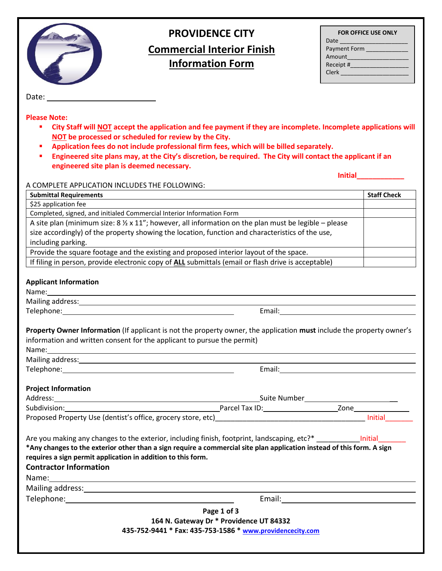

# **PROVIDENCE CITY Commercial Interior Finish Information Form**

| <b>FOR OFFICE USE ONLY</b>                                                                                    |  |  |
|---------------------------------------------------------------------------------------------------------------|--|--|
| Date the control of the control of the control of the control of the control of the control of the control of |  |  |
| Payment Form                                                                                                  |  |  |
| Amount                                                                                                        |  |  |
| Receipt #                                                                                                     |  |  |
| <b>Clerk</b>                                                                                                  |  |  |
|                                                                                                               |  |  |

**Initial\_\_\_\_\_\_\_\_\_\_\_\_**

Date:

**Please Note:** 

- **City Staff will NOT accept the application and fee payment if they are incomplete. Incomplete applications will NOT be processed or scheduled for review by the City.**
- **Application fees do not include professional firm fees, which will be billed separately.**
- **Engineered site plans may, at the City's discretion, be required. The City will contact the applicant if an engineered site plan is deemed necessary.**

A COMPLETE APPLICATION INCLUDES THE FOLLOWING:

| <b>Submittal Requirements</b>                                                                                                                                                                                                                                                                                                                                                                                                                            |  | <b>Staff Check</b> |  |
|----------------------------------------------------------------------------------------------------------------------------------------------------------------------------------------------------------------------------------------------------------------------------------------------------------------------------------------------------------------------------------------------------------------------------------------------------------|--|--------------------|--|
| \$25 application fee                                                                                                                                                                                                                                                                                                                                                                                                                                     |  |                    |  |
| Completed, signed, and initialed Commercial Interior Information Form                                                                                                                                                                                                                                                                                                                                                                                    |  |                    |  |
| A site plan (minimum size: $8\frac{1}{2} \times 11$ "; however, all information on the plan must be legible – please                                                                                                                                                                                                                                                                                                                                     |  |                    |  |
| size accordingly) of the property showing the location, function and characteristics of the use,                                                                                                                                                                                                                                                                                                                                                         |  |                    |  |
| including parking.                                                                                                                                                                                                                                                                                                                                                                                                                                       |  |                    |  |
| Provide the square footage and the existing and proposed interior layout of the space.                                                                                                                                                                                                                                                                                                                                                                   |  |                    |  |
| If filing in person, provide electronic copy of ALL submittals (email or flash drive is acceptable)                                                                                                                                                                                                                                                                                                                                                      |  |                    |  |
| <b>Applicant Information</b>                                                                                                                                                                                                                                                                                                                                                                                                                             |  |                    |  |
| Mailing address: 1999 Mailing and the state of the state of the state of the state of the state of the state of the state of the state of the state of the state of the state of the state of the state of the state of the st                                                                                                                                                                                                                           |  |                    |  |
|                                                                                                                                                                                                                                                                                                                                                                                                                                                          |  |                    |  |
| Property Owner Information (If applicant is not the property owner, the application must include the property owner's<br>information and written consent for the applicant to pursue the permit)<br>Name:<br>Mailing address: 1999 Mailing and the state of the state of the state of the state of the state of the state of the state of the state of the state of the state of the state of the state of the state of the state of the st              |  |                    |  |
|                                                                                                                                                                                                                                                                                                                                                                                                                                                          |  |                    |  |
| <b>Project Information</b>                                                                                                                                                                                                                                                                                                                                                                                                                               |  |                    |  |
|                                                                                                                                                                                                                                                                                                                                                                                                                                                          |  |                    |  |
| Subdivision: Subdivision:                                                                                                                                                                                                                                                                                                                                                                                                                                |  |                    |  |
|                                                                                                                                                                                                                                                                                                                                                                                                                                                          |  |                    |  |
| *Any changes to the exterior other than a sign require a commercial site plan application instead of this form. A sign<br>requires a sign permit application in addition to this form.<br><b>Contractor Information</b><br>Name: Name and the second contract of the second contract of the second contract of the second contract of the second contract of the second contract of the second contract of the second contract of the second contract of |  |                    |  |
|                                                                                                                                                                                                                                                                                                                                                                                                                                                          |  |                    |  |
|                                                                                                                                                                                                                                                                                                                                                                                                                                                          |  |                    |  |
| Page 1 of 3                                                                                                                                                                                                                                                                                                                                                                                                                                              |  |                    |  |
| 164 N. Gateway Dr * Providence UT 84332                                                                                                                                                                                                                                                                                                                                                                                                                  |  |                    |  |
| 435-752-9441 * Fax: 435-753-1586 * www.providencecity.com                                                                                                                                                                                                                                                                                                                                                                                                |  |                    |  |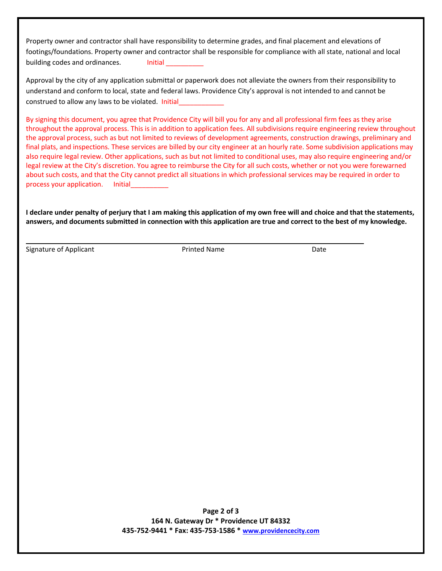Property owner and contractor shall have responsibility to determine grades, and final placement and elevations of footings/foundations. Property owner and contractor shall be responsible for compliance with all state, national and local building codes and ordinances. Initial

Approval by the city of any application submittal or paperwork does not alleviate the owners from their responsibility to understand and conform to local, state and federal laws. Providence City's approval is not intended to and cannot be construed to allow any laws to be violated. Initial

By signing this document, you agree that Providence City will bill you for any and all professional firm fees as they arise throughout the approval process. This is in addition to application fees. All subdivisions require engineering review throughout the approval process, such as but not limited to reviews of development agreements, construction drawings, preliminary and final plats, and inspections. These services are billed by our city engineer at an hourly rate. Some subdivision applications may also require legal review. Other applications, such as but not limited to conditional uses, may also require engineering and/or legal review at the City's discretion. You agree to reimburse the City for all such costs, whether or not you were forewarned about such costs, and that the City cannot predict all situations in which professional services may be required in order to process your application. Initial

**I declare under penalty of perjury that I am making this application of my own free will and choice and that the statements, answers, and documents submitted in connection with this application are true and correct to the best of my knowledge.**

Signature of Applicant The Printed Name Date Date Date

**Page 2 of 3 164 N. Gateway Dr \* Providence UT 84332 435-752-9441 \* Fax: 435-753-1586 \* [www.providencecity.com](http://www.providencecity.com/)**